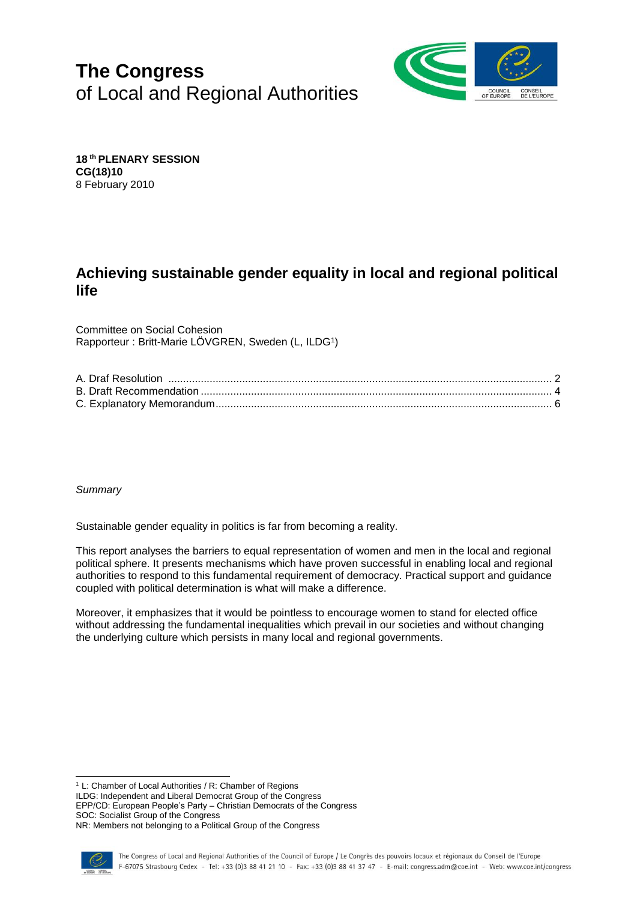# **The Congress** of Local and Regional Authorities



**18 th PLENARY SESSION CG(18)10** 8 February 2010

# **Achieving sustainable gender equality in local and regional political life**

Committee on Social Cohesion Rapporteur : Britt-Marie LÖVGREN, Sweden (L, ILDG<sup>1</sup>)

*Summary*

Sustainable gender equality in politics is far from becoming a reality.

This report analyses the barriers to equal representation of women and men in the local and regional political sphere. It presents mechanisms which have proven successful in enabling local and regional authorities to respond to this fundamental requirement of democracy. Practical support and guidance coupled with political determination is what will make a difference.

Moreover, it emphasizes that it would be pointless to encourage women to stand for elected office without addressing the fundamental inequalities which prevail in our societies and without changing the underlying culture which persists in many local and regional governments.

<sup>1</sup> L: Chamber of Local Authorities / R: Chamber of Regions

ILDG: Independent and Liberal Democrat Group of the Congress

EPP/CD: European People's Party – Christian Democrats of the Congress SOC: Socialist Group of the Congress

NR: Members not belonging to a Political Group of the Congress

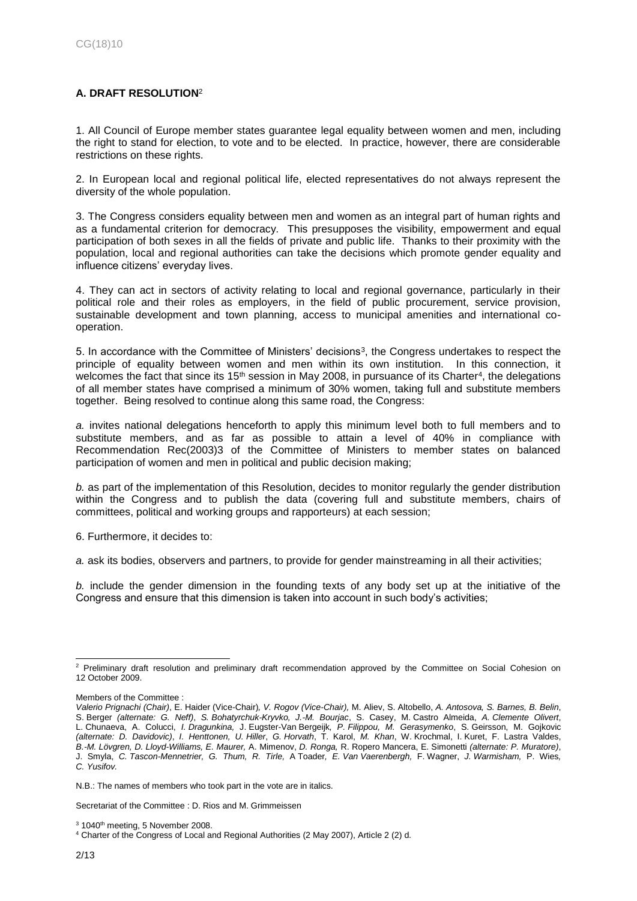# <span id="page-1-0"></span>**A. DRAFT RESOLUTION**<sup>2</sup>

1. All Council of Europe member states guarantee legal equality between women and men, including the right to stand for election, to vote and to be elected. In practice, however, there are considerable restrictions on these rights.

2. In European local and regional political life, elected representatives do not always represent the diversity of the whole population.

3. The Congress considers equality between men and women as an integral part of human rights and as a fundamental criterion for democracy. This presupposes the visibility, empowerment and equal participation of both sexes in all the fields of private and public life. Thanks to their proximity with the population, local and regional authorities can take the decisions which promote gender equality and influence citizens' everyday lives.

4. They can act in sectors of activity relating to local and regional governance, particularly in their political role and their roles as employers, in the field of public procurement, service provision, sustainable development and town planning, access to municipal amenities and international cooperation.

5. In accordance with the Committee of Ministers' decisions<sup>3</sup>, the Congress undertakes to respect the principle of equality between women and men within its own institution. In this connection, it welcomes the fact that since its 15<sup>th</sup> session in May 2008, in pursuance of its Charter<sup>4</sup>, the delegations of all member states have comprised a minimum of 30% women, taking full and substitute members together. Being resolved to continue along this same road, the Congress:

*a.* invites national delegations henceforth to apply this minimum level both to full members and to substitute members, and as far as possible to attain a level of 40% in compliance with Recommendation Rec(2003)3 of the Committee of Ministers to member states on balanced participation of women and men in political and public decision making;

*b.* as part of the implementation of this Resolution, decides to monitor regularly the gender distribution within the Congress and to publish the data (covering full and substitute members, chairs of committees, political and working groups and rapporteurs) at each session;

6. Furthermore, it decides to:

*a.* ask its bodies, observers and partners, to provide for gender mainstreaming in all their activities;

*b.* include the gender dimension in the founding texts of any body set up at the initiative of the Congress and ensure that this dimension is taken into account in such body's activities;

Secretariat of the Committee : D. Rios and M. Grimmeissen

l <sup>2</sup> Preliminary draft resolution and preliminary draft recommendation approved by the Committee on Social Cohesion on 12 October 2009.

Members of the Committee :

*Valerio Prignachi (Chair)*, E. Haider (Vice-Chair)*, V. Rogov (Vice-Chair),* M. Aliev, S. Altobello, *A. Antosova, S. Barnes, B. Belin*, S. Berger *(alternate: G. Neff)*, *S. Bohatyrchuk-Kryvko, J.-M. Bourjac*, S. Casey, M. Castro Almeida, *A. Clemente Olivert*, L. Chunaeva, A. Colucci, *I. Dragunkina,* J. Eugster-Van Bergeijk*, P. Filippou, M. Gerasymenko*, S. Geirsson, M. Gojkovic *(alternate: D. Davidovic)*, *I. Henttonen, U. Hiller*, *G. Horvath*, T. Karol, *M. Khan*, W. Krochmal, I. Kuret, F. Lastra Valdes, *B.-M. Lövgren, D. Lloyd-Williams, E. Maurer,* A. Mimenov, *D. Ronga,* R. Ropero Mancera, E. Simonetti *(alternate: P. Muratore)*, J. Smyla, *C. Tascon-Mennetrier, G. Thum, R. Tirle,* A Toader*, E. Van Vaerenbergh,* F. Wagner, *J. Warmisham,* P. Wies*, C. Yusifov.*

N.B.: The names of members who took part in the vote are in italics.

 $3$  1040<sup>th</sup> meeting, 5 November 2008.

<sup>4</sup> Charter of the Congress of Local and Regional Authorities (2 May 2007), Article 2 (2) d.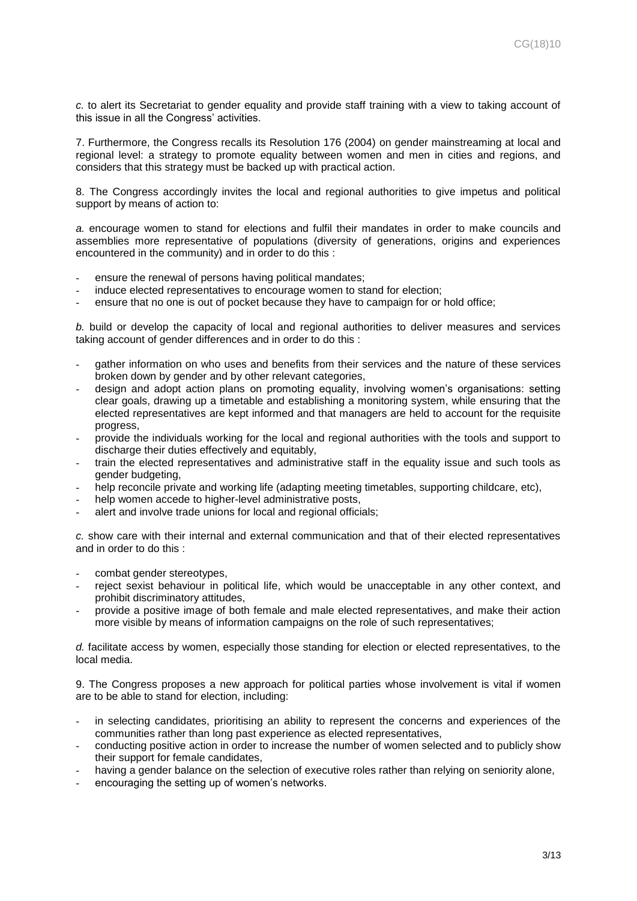*c.* to alert its Secretariat to gender equality and provide staff training with a view to taking account of this issue in all the Congress' activities.

7. Furthermore, the Congress recalls its Resolution 176 (2004) on gender mainstreaming at local and regional level: a strategy to promote equality between women and men in cities and regions, and considers that this strategy must be backed up with practical action.

8. The Congress accordingly invites the local and regional authorities to give impetus and political support by means of action to:

*a.* encourage women to stand for elections and fulfil their mandates in order to make councils and assemblies more representative of populations (diversity of generations, origins and experiences encountered in the community) and in order to do this :

- ensure the renewal of persons having political mandates;
- induce elected representatives to encourage women to stand for election;
- ensure that no one is out of pocket because they have to campaign for or hold office;

*b.* build or develop the capacity of local and regional authorities to deliver measures and services taking account of gender differences and in order to do this :

- gather information on who uses and benefits from their services and the nature of these services broken down by gender and by other relevant categories,
- design and adopt action plans on promoting equality, involving women's organisations: setting clear goals, drawing up a timetable and establishing a monitoring system, while ensuring that the elected representatives are kept informed and that managers are held to account for the requisite progress,
- provide the individuals working for the local and regional authorities with the tools and support to discharge their duties effectively and equitably,
- train the elected representatives and administrative staff in the equality issue and such tools as gender budgeting,
- help reconcile private and working life (adapting meeting timetables, supporting childcare, etc),
- help women accede to higher-level administrative posts,
- alert and involve trade unions for local and regional officials;

*c.* show care with their internal and external communication and that of their elected representatives and in order to do this :

- combat gender stereotypes.
- reject sexist behaviour in political life, which would be unacceptable in any other context, and prohibit discriminatory attitudes,
- provide a positive image of both female and male elected representatives, and make their action more visible by means of information campaigns on the role of such representatives;

*d.* facilitate access by women, especially those standing for election or elected representatives, to the local media.

9. The Congress proposes a new approach for political parties whose involvement is vital if women are to be able to stand for election, including:

- in selecting candidates, prioritising an ability to represent the concerns and experiences of the communities rather than long past experience as elected representatives,
- conducting positive action in order to increase the number of women selected and to publicly show their support for female candidates,
- having a gender balance on the selection of executive roles rather than relying on seniority alone,
- encouraging the setting up of women's networks.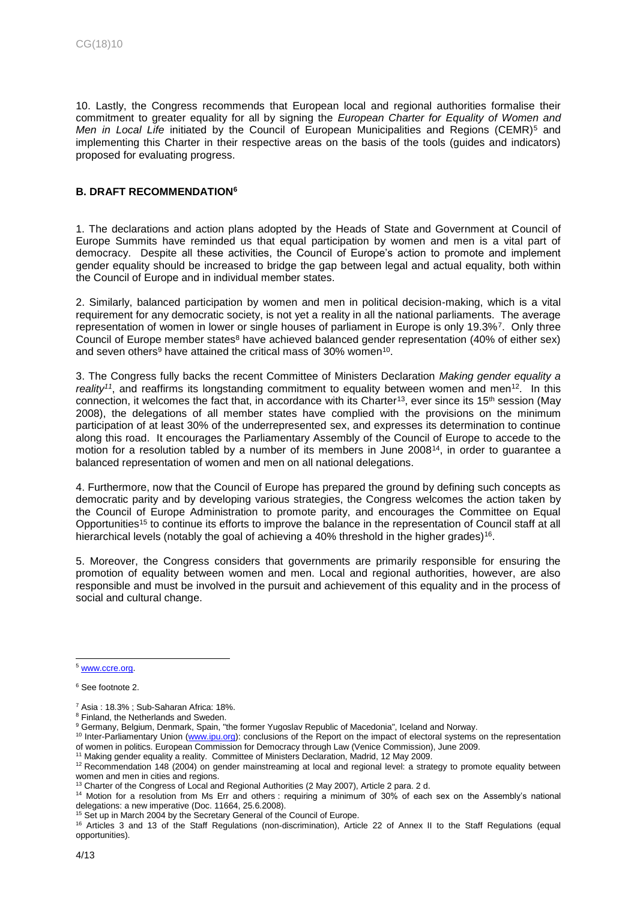10. Lastly, the Congress recommends that European local and regional authorities formalise their commitment to greater equality for all by signing the *European Charter for Equality of Women and Men in Local Life* initiated by the Council of European Municipalities and Regions (CEMR)<sup>5</sup> and implementing this Charter in their respective areas on the basis of the tools (guides and indicators) proposed for evaluating progress.

## <span id="page-3-0"></span>**B. DRAFT RECOMMENDATION<sup>6</sup>**

1. The declarations and action plans adopted by the Heads of State and Government at Council of Europe Summits have reminded us that equal participation by women and men is a vital part of democracy. Despite all these activities, the Council of Europe's action to promote and implement gender equality should be increased to bridge the gap between legal and actual equality, both within the Council of Europe and in individual member states.

2. Similarly, balanced participation by women and men in political decision-making, which is a vital requirement for any democratic society, is not yet a reality in all the national parliaments. The average representation of women in lower or single houses of parliament in Europe is only 19.3%<sup>7</sup>. Only three Council of Europe member states<sup>8</sup> have achieved balanced gender representation (40% of either sex) and seven others<sup>9</sup> have attained the critical mass of 30% women<sup>10</sup>.

3. The Congress fully backs the recent Committee of Ministers Declaration *Making gender equality a reality<sup>11</sup>*, and reaffirms its longstanding commitment to equality between women and men<sup>12</sup>. In this connection, it welcomes the fact that, in accordance with its Charter<sup>13</sup>, ever since its 15<sup>th</sup> session (May 2008), the delegations of all member states have complied with the provisions on the minimum participation of at least 30% of the underrepresented sex, and expresses its determination to continue along this road. It encourages the Parliamentary Assembly of the Council of Europe to accede to the motion for a resolution tabled by a number of its members in June 2008<sup>14</sup>, in order to guarantee a balanced representation of women and men on all national delegations.

4. Furthermore, now that the Council of Europe has prepared the ground by defining such concepts as democratic parity and by developing various strategies, the Congress welcomes the action taken by the Council of Europe Administration to promote parity, and encourages the Committee on Equal Opportunities<sup>15</sup> to continue its efforts to improve the balance in the representation of Council staff at all hierarchical levels (notably the goal of achieving a 40% threshold in the higher grades)<sup>16</sup>.

5. Moreover, the Congress considers that governments are primarily responsible for ensuring the promotion of equality between women and men. Local and regional authorities, however, are also responsible and must be involved in the pursuit and achievement of this equality and in the process of social and cultural change.

<sup>5</sup> [www.ccre.org.](http://www.ccre.org/)

<sup>6</sup> See footnote 2.

<sup>7</sup> Asia : 18.3% ; Sub-Saharan Africa: 18%.

<sup>8</sup> Finland, the Netherlands and Sweden.

<sup>9</sup> Germany, Belgium, Denmark, Spain, "the former Yugoslav Republic of Macedonia", Iceland and Norway.

<sup>&</sup>lt;sup>10</sup> Inter-Parliamentary Union [\(www.ipu.org\)](http://www.ipu.org/): conclusions of the Report on the impact of electoral systems on the representation of women in politics. European Commission for Democracy through Law (Venice Commission), June 2009.

<sup>&</sup>lt;sup>11</sup> Making gender equality a reality. Committee of Ministers Declaration, Madrid, 12 May 2009.

<sup>&</sup>lt;sup>12</sup> Recommendation 148 (2004) on gender mainstreaming at local and regional level: a strategy to promote equality between women and men in cities and regions.

<sup>&</sup>lt;sup>13</sup> Charter of the Congress of Local and Regional Authorities (2 May 2007), Article 2 para. 2 d.

<sup>14</sup> Motion for a resolution from Ms Err and others : requiring a minimum of 30% of each sex on the Assembly's national delegations: a new imperative (Doc. 11664, 25.6.2008).

<sup>&</sup>lt;sup>15</sup> Set up in March 2004 by the Secretary General of the Council of Europe.

<sup>&</sup>lt;sup>16</sup> Articles 3 and 13 of the Staff Regulations (non-discrimination), Article 22 of Annex II to the Staff Regulations (equal opportunities).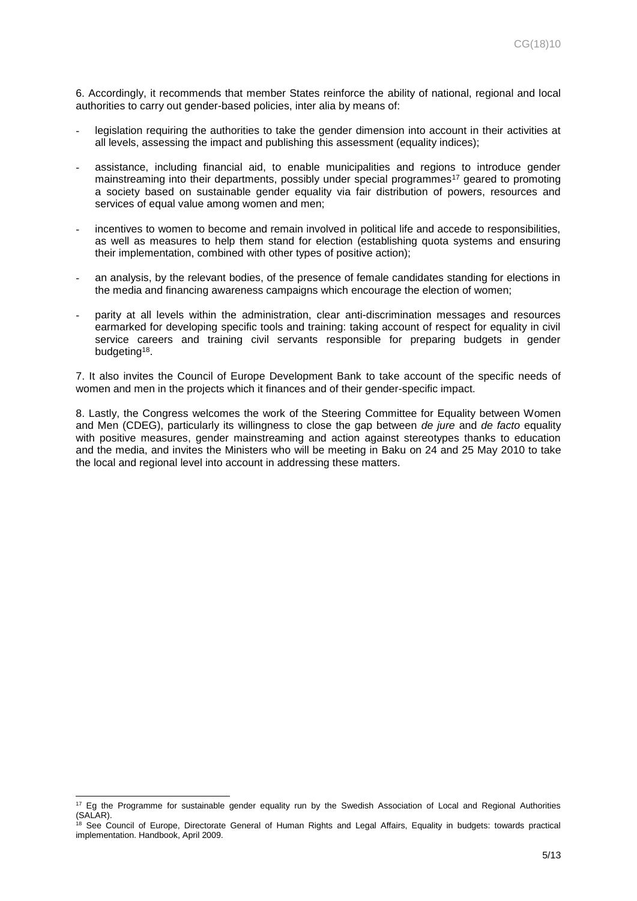6. Accordingly, it recommends that member States reinforce the ability of national, regional and local authorities to carry out gender-based policies, inter alia by means of:

- legislation requiring the authorities to take the gender dimension into account in their activities at all levels, assessing the impact and publishing this assessment (equality indices);
- assistance, including financial aid, to enable municipalities and regions to introduce gender mainstreaming into their departments, possibly under special programmes<sup>17</sup> geared to promoting a society based on sustainable gender equality via fair distribution of powers, resources and services of equal value among women and men;
- incentives to women to become and remain involved in political life and accede to responsibilities, as well as measures to help them stand for election (establishing quota systems and ensuring their implementation, combined with other types of positive action);
- an analysis, by the relevant bodies, of the presence of female candidates standing for elections in the media and financing awareness campaigns which encourage the election of women;
- parity at all levels within the administration, clear anti-discrimination messages and resources earmarked for developing specific tools and training: taking account of respect for equality in civil service careers and training civil servants responsible for preparing budgets in gender budgeting<sup>18</sup>.

7. It also invites the Council of Europe Development Bank to take account of the specific needs of women and men in the projects which it finances and of their gender-specific impact.

8. Lastly, the Congress welcomes the work of the Steering Committee for Equality between Women and Men (CDEG), particularly its willingness to close the gap between *de jure* and *de facto* equality with positive measures, gender mainstreaming and action against stereotypes thanks to education and the media, and invites the Ministers who will be meeting in Baku on 24 and 25 May 2010 to take the local and regional level into account in addressing these matters.

 $17$  Eg the Programme for sustainable gender equality run by the Swedish Association of Local and Regional Authorities  $(SAI AR)$ .

<sup>&</sup>lt;sup>18</sup> See Council of Europe, Directorate General of Human Rights and Legal Affairs, Equality in budgets: towards practical implementation. Handbook, April 2009.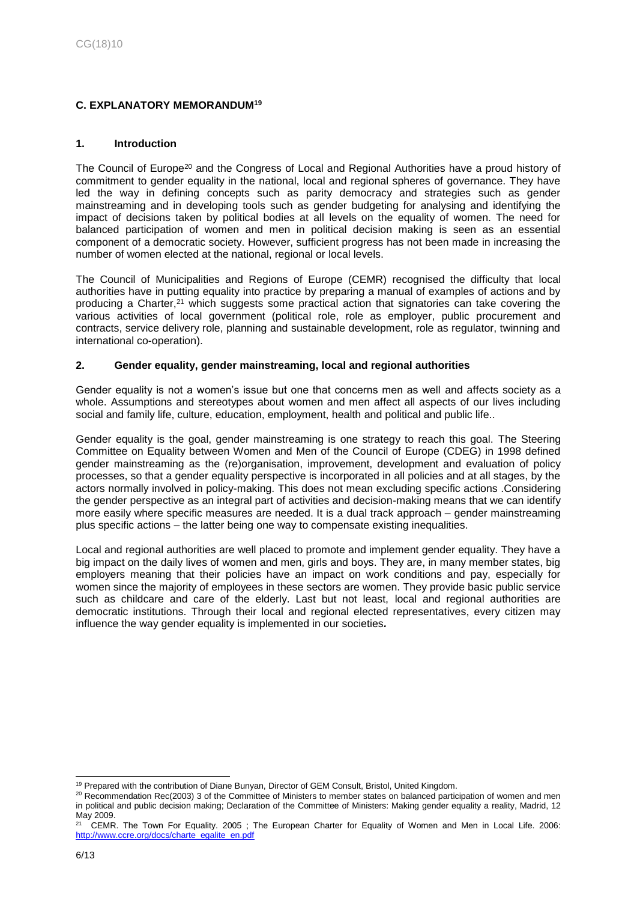# <span id="page-5-0"></span>**C. EXPLANATORY MEMORANDUM<sup>19</sup>**

## **1. Introduction**

The Council of Europe<sup>20</sup> and the Congress of Local and Regional Authorities have a proud history of commitment to gender equality in the national, local and regional spheres of governance. They have led the way in defining concepts such as parity democracy and strategies such as gender mainstreaming and in developing tools such as gender budgeting for analysing and identifying the impact of decisions taken by political bodies at all levels on the equality of women. The need for balanced participation of women and men in political decision making is seen as an essential component of a democratic society. However, sufficient progress has not been made in increasing the number of women elected at the national, regional or local levels.

The Council of Municipalities and Regions of Europe (CEMR) recognised the difficulty that local authorities have in putting equality into practice by preparing a manual of examples of actions and by producing a Charter,<sup>21</sup> which suggests some practical action that signatories can take covering the various activities of local government (political role, role as employer, public procurement and contracts, service delivery role, planning and sustainable development, role as regulator, twinning and international co-operation).

#### **2. Gender equality, gender mainstreaming, local and regional authorities**

Gender equality is not a women's issue but one that concerns men as well and affects society as a whole. Assumptions and stereotypes about women and men affect all aspects of our lives including social and family life, culture, education, employment, health and political and public life..

Gender equality is the goal, gender mainstreaming is one strategy to reach this goal. The Steering Committee on Equality between Women and Men of the Council of Europe (CDEG) in 1998 defined gender mainstreaming as the (re)organisation, improvement, development and evaluation of policy processes, so that a gender equality perspective is incorporated in all policies and at all stages, by the actors normally involved in policy-making. This does not mean excluding specific actions .Considering the gender perspective as an integral part of activities and decision-making means that we can identify more easily where specific measures are needed. It is a dual track approach – gender mainstreaming plus specific actions – the latter being one way to compensate existing inequalities.

Local and regional authorities are well placed to promote and implement gender equality. They have a big impact on the daily lives of women and men, girls and boys. They are, in many member states, big employers meaning that their policies have an impact on work conditions and pay, especially for women since the majority of employees in these sectors are women. They provide basic public service such as childcare and care of the elderly. Last but not least, local and regional authorities are democratic institutions. Through their local and regional elected representatives, every citizen may influence the way gender equality is implemented in our societies*.*

l <sup>19</sup> Prepared with the contribution of Diane Bunyan, Director of GEM Consult, Bristol, United Kingdom.

<sup>&</sup>lt;sup>20</sup> Recommendation Rec(2003) 3 of the Committee of Ministers to member states on balanced participation of women and men in political and public decision making; Declaration of the Committee of Ministers: Making gender equality a reality, Madrid, 12 May 2009.

<sup>21</sup> CEMR. The Town For Equality. 2005 ; The European Charter for Equality of Women and Men in Local Life. 2006: [http://www.ccre.org/docs/charte\\_egalite\\_en.pdf](http://www.ccre.org/docs/charte_egalite_en.pdf)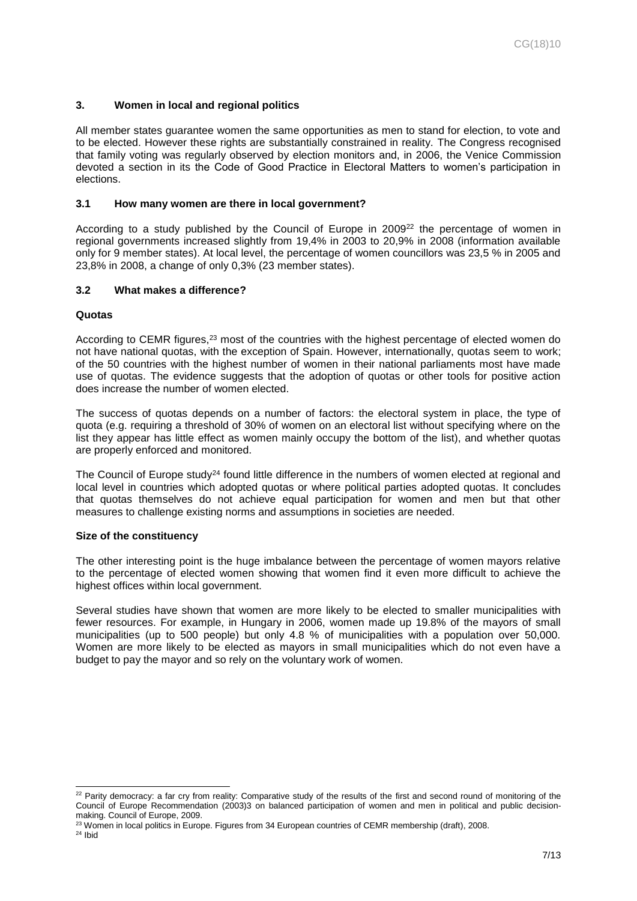# **3. Women in local and regional politics**

All member states guarantee women the same opportunities as men to stand for election, to vote and to be elected. However these rights are substantially constrained in reality. The Congress recognised that family voting was regularly observed by election monitors and, in 2006, the Venice Commission devoted a section in its the Code of Good Practice in Electoral Matters to women's participation in elections.

#### **3.1 How many women are there in local government?**

According to a study published by the Council of Europe in 2009<sup>22</sup> the percentage of women in regional governments increased slightly from 19,4% in 2003 to 20,9% in 2008 (information available only for 9 member states). At local level, the percentage of women councillors was 23,5 % in 2005 and 23,8% in 2008, a change of only 0,3% (23 member states).

#### **3.2 What makes a difference?**

#### **Quotas**

According to CEMR figures,<sup>23</sup> most of the countries with the highest percentage of elected women do not have national quotas, with the exception of Spain. However, internationally, quotas seem to work; of the 50 countries with the highest number of women in their national parliaments most have made use of quotas. The evidence suggests that the adoption of quotas or other tools for positive action does increase the number of women elected.

The success of quotas depends on a number of factors: the electoral system in place, the type of quota (e.g. requiring a threshold of 30% of women on an electoral list without specifying where on the list they appear has little effect as women mainly occupy the bottom of the list), and whether quotas are properly enforced and monitored.

The Council of Europe study<sup>24</sup> found little difference in the numbers of women elected at regional and local level in countries which adopted quotas or where political parties adopted quotas. It concludes that quotas themselves do not achieve equal participation for women and men but that other measures to challenge existing norms and assumptions in societies are needed.

#### **Size of the constituency**

The other interesting point is the huge imbalance between the percentage of women mayors relative to the percentage of elected women showing that women find it even more difficult to achieve the highest offices within local government.

Several studies have shown that women are more likely to be elected to smaller municipalities with fewer resources. For example, in Hungary in 2006, women made up 19.8% of the mayors of small municipalities (up to 500 people) but only 4.8 % of municipalities with a population over 50,000. Women are more likely to be elected as mayors in small municipalities which do not even have a budget to pay the mayor and so rely on the voluntary work of women.

<sup>&</sup>lt;sup>22</sup> Parity democracy: a far cry from reality: Comparative study of the results of the first and second round of monitoring of the Council of Europe Recommendation (2003)3 on balanced participation of women and men in political and public decisionmaking. Council of Europe, 2009.

<sup>&</sup>lt;sup>23</sup> Women in local politics in Europe. Figures from 34 European countries of CEMR membership (draft), 2008.

 $24$  Ibid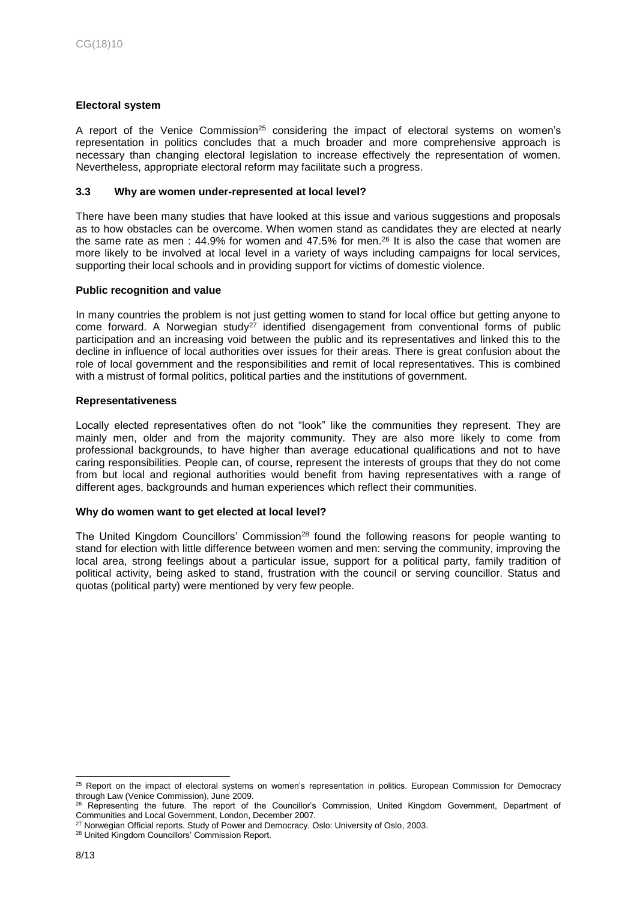# **Electoral system**

A report of the Venice Commission<sup>25</sup> considering the impact of electoral systems on women's representation in politics concludes that a much broader and more comprehensive approach is necessary than changing electoral legislation to increase effectively the representation of women. Nevertheless, appropriate electoral reform may facilitate such a progress.

#### **3.3 Why are women under-represented at local level?**

There have been many studies that have looked at this issue and various suggestions and proposals as to how obstacles can be overcome. When women stand as candidates they are elected at nearly the same rate as men :  $44.9%$  for women and  $47.5%$  for men.<sup>26</sup> It is also the case that women are more likely to be involved at local level in a variety of ways including campaigns for local services, supporting their local schools and in providing support for victims of domestic violence.

#### **Public recognition and value**

In many countries the problem is not just getting women to stand for local office but getting anyone to come forward. A Norwegian study<sup>27</sup> identified disengagement from conventional forms of public participation and an increasing void between the public and its representatives and linked this to the decline in influence of local authorities over issues for their areas. There is great confusion about the role of local government and the responsibilities and remit of local representatives. This is combined with a mistrust of formal politics, political parties and the institutions of government.

#### **Representativeness**

Locally elected representatives often do not "look" like the communities they represent. They are mainly men, older and from the majority community. They are also more likely to come from professional backgrounds, to have higher than average educational qualifications and not to have caring responsibilities. People can, of course, represent the interests of groups that they do not come from but local and regional authorities would benefit from having representatives with a range of different ages, backgrounds and human experiences which reflect their communities.

#### **Why do women want to get elected at local level?**

The United Kingdom Councillors' Commission<sup>28</sup> found the following reasons for people wanting to stand for election with little difference between women and men: serving the community, improving the local area, strong feelings about a particular issue, support for a political party, family tradition of political activity, being asked to stand, frustration with the council or serving councillor. Status and quotas (political party) were mentioned by very few people.

<sup>&</sup>lt;sup>25</sup> Report on the impact of electoral systems on women's representation in politics. European Commission for Democracy through Law (Venice Commission), June 2009.

<sup>&</sup>lt;sup>26</sup> Representing the future. The report of the Councillor's Commission, United Kingdom Government, Department of Communities and Local Government, London, December 2007.

<sup>&</sup>lt;sup>27</sup> Norwegian Official reports. Study of Power and Democracy. Oslo: University of Oslo, 2003.

<sup>28</sup> United Kingdom Councillors' Commission Report.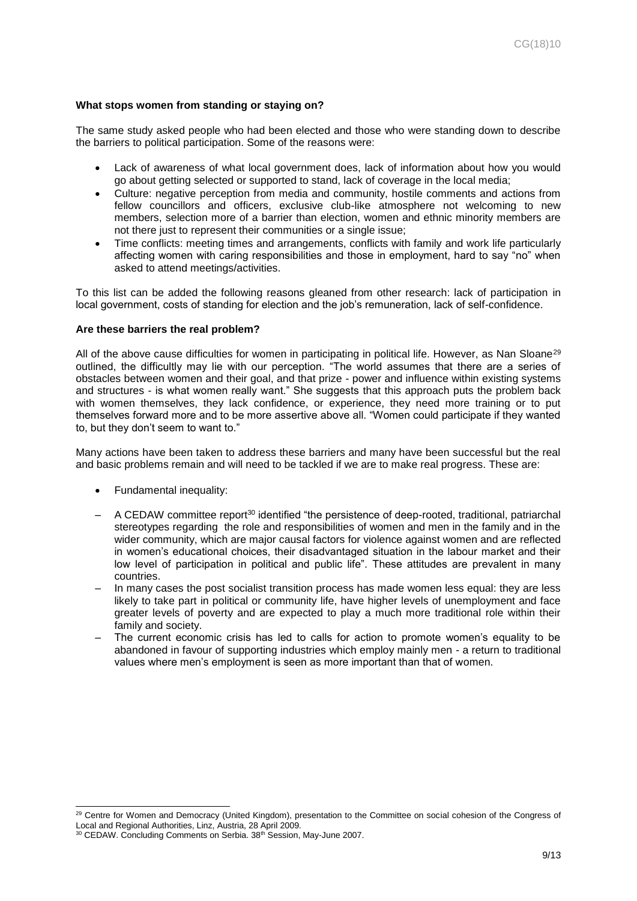#### **What stops women from standing or staying on?**

The same study asked people who had been elected and those who were standing down to describe the barriers to political participation. Some of the reasons were:

- Lack of awareness of what local government does, lack of information about how you would go about getting selected or supported to stand, lack of coverage in the local media;
- Culture: negative perception from media and community, hostile comments and actions from fellow councillors and officers, exclusive club-like atmosphere not welcoming to new members, selection more of a barrier than election, women and ethnic minority members are not there just to represent their communities or a single issue;
- Time conflicts: meeting times and arrangements, conflicts with family and work life particularly affecting women with caring responsibilities and those in employment, hard to say "no" when asked to attend meetings/activities.

To this list can be added the following reasons gleaned from other research: lack of participation in local government, costs of standing for election and the job's remuneration, lack of self-confidence.

#### **Are these barriers the real problem?**

All of the above cause difficulties for women in participating in political life. However, as Nan Sloane<sup>29</sup> outlined, the difficultly may lie with our perception. "The world assumes that there are a series of obstacles between women and their goal, and that prize - power and influence within existing systems and structures - is what women really want." She suggests that this approach puts the problem back with women themselves, they lack confidence, or experience, they need more training or to put themselves forward more and to be more assertive above all. "Women could participate if they wanted to, but they don't seem to want to."

Many actions have been taken to address these barriers and many have been successful but the real and basic problems remain and will need to be tackled if we are to make real progress. These are:

• Fundamental inequality:

- A CEDAW committee report<sup>30</sup> identified "the persistence of deep-rooted, traditional, patriarchal stereotypes regarding the role and responsibilities of women and men in the family and in the wider community, which are major causal factors for violence against women and are reflected in women's educational choices, their disadvantaged situation in the labour market and their low level of participation in political and public life". These attitudes are prevalent in many countries.
- In many cases the post socialist transition process has made women less equal: they are less likely to take part in political or community life, have higher levels of unemployment and face greater levels of poverty and are expected to play a much more traditional role within their family and society.
- The current economic crisis has led to calls for action to promote women's equality to be abandoned in favour of supporting industries which employ mainly men - a return to traditional values where men's employment is seen as more important than that of women.

<sup>&</sup>lt;sup>29</sup> Centre for Women and Democracy (United Kingdom), presentation to the Committee on social cohesion of the Congress of Local and Regional Authorities, Linz, Austria, 28 April 2009.

<sup>&</sup>lt;sup>30</sup> CEDAW. Concluding Comments on Serbia. 38<sup>th</sup> Session, May-June 2007.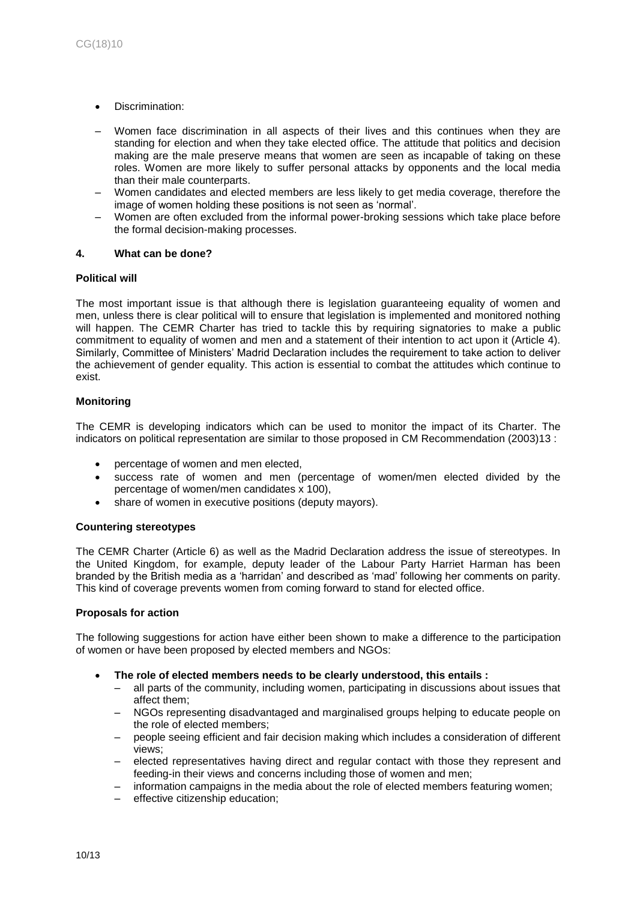- Discrimination:
- Women face discrimination in all aspects of their lives and this continues when they are standing for election and when they take elected office. The attitude that politics and decision making are the male preserve means that women are seen as incapable of taking on these roles. Women are more likely to suffer personal attacks by opponents and the local media than their male counterparts.
- Women candidates and elected members are less likely to get media coverage, therefore the image of women holding these positions is not seen as 'normal'.
- Women are often excluded from the informal power-broking sessions which take place before the formal decision-making processes.

#### **4. What can be done?**

#### **Political will**

The most important issue is that although there is legislation guaranteeing equality of women and men, unless there is clear political will to ensure that legislation is implemented and monitored nothing will happen. The CEMR Charter has tried to tackle this by requiring signatories to make a public commitment to equality of women and men and a statement of their intention to act upon it (Article 4). Similarly, Committee of Ministers' Madrid Declaration includes the requirement to take action to deliver the achievement of gender equality. This action is essential to combat the attitudes which continue to exist.

# **Monitoring**

The CEMR is developing indicators which can be used to monitor the impact of its Charter. The indicators on political representation are similar to those proposed in CM Recommendation (2003)13 :

- percentage of women and men elected,
- success rate of women and men (percentage of women/men elected divided by the percentage of women/men candidates x 100),
- share of women in executive positions (deputy mayors).

#### **Countering stereotypes**

The CEMR Charter (Article 6) as well as the Madrid Declaration address the issue of stereotypes. In the United Kingdom, for example, deputy leader of the Labour Party Harriet Harman has been branded by the British media as a 'harridan' and described as 'mad' following her comments on parity. This kind of coverage prevents women from coming forward to stand for elected office.

#### **Proposals for action**

The following suggestions for action have either been shown to make a difference to the participation of women or have been proposed by elected members and NGOs:

- **The role of elected members needs to be clearly understood, this entails :** 
	- all parts of the community, including women, participating in discussions about issues that affect them;
	- NGOs representing disadvantaged and marginalised groups helping to educate people on the role of elected members;
	- people seeing efficient and fair decision making which includes a consideration of different views;
	- elected representatives having direct and regular contact with those they represent and feeding-in their views and concerns including those of women and men;
	- information campaigns in the media about the role of elected members featuring women;
	- effective citizenship education;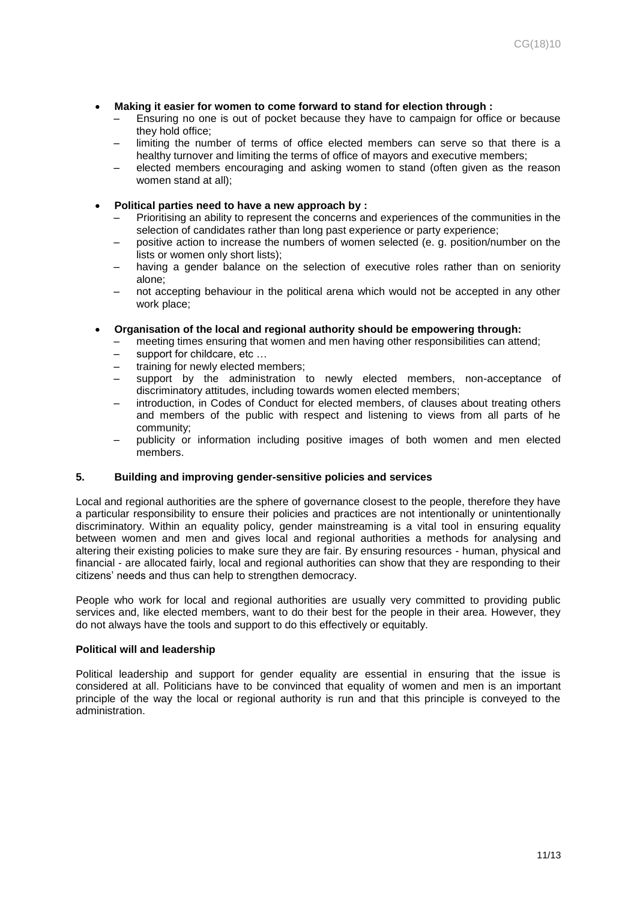- **Making it easier for women to come forward to stand for election through :**
	- Ensuring no one is out of pocket because they have to campaign for office or because they hold office;
	- limiting the number of terms of office elected members can serve so that there is a healthy turnover and limiting the terms of office of mayors and executive members;
	- elected members encouraging and asking women to stand (often given as the reason women stand at all);
- **Political parties need to have a new approach by :**
	- Prioritising an ability to represent the concerns and experiences of the communities in the selection of candidates rather than long past experience or party experience;
	- positive action to increase the numbers of women selected (e. g. position/number on the lists or women only short lists);
	- having a gender balance on the selection of executive roles rather than on seniority alone;
	- not accepting behaviour in the political arena which would not be accepted in any other work place;
- **Organisation of the local and regional authority should be empowering through:**
	- meeting times ensuring that women and men having other responsibilities can attend;
	- support for childcare, etc ...
	- training for newly elected members;
	- support by the administration to newly elected members, non-acceptance of discriminatory attitudes, including towards women elected members;
	- introduction, in Codes of Conduct for elected members, of clauses about treating others and members of the public with respect and listening to views from all parts of he community;
	- publicity or information including positive images of both women and men elected members.

#### **5. Building and improving gender-sensitive policies and services**

Local and regional authorities are the sphere of governance closest to the people, therefore they have a particular responsibility to ensure their policies and practices are not intentionally or unintentionally discriminatory. Within an equality policy, gender mainstreaming is a vital tool in ensuring equality between women and men and gives local and regional authorities a methods for analysing and altering their existing policies to make sure they are fair. By ensuring resources - human, physical and financial - are allocated fairly, local and regional authorities can show that they are responding to their citizens' needs and thus can help to strengthen democracy.

People who work for local and regional authorities are usually very committed to providing public services and, like elected members, want to do their best for the people in their area. However, they do not always have the tools and support to do this effectively or equitably.

#### **Political will and leadership**

Political leadership and support for gender equality are essential in ensuring that the issue is considered at all. Politicians have to be convinced that equality of women and men is an important principle of the way the local or regional authority is run and that this principle is conveyed to the administration.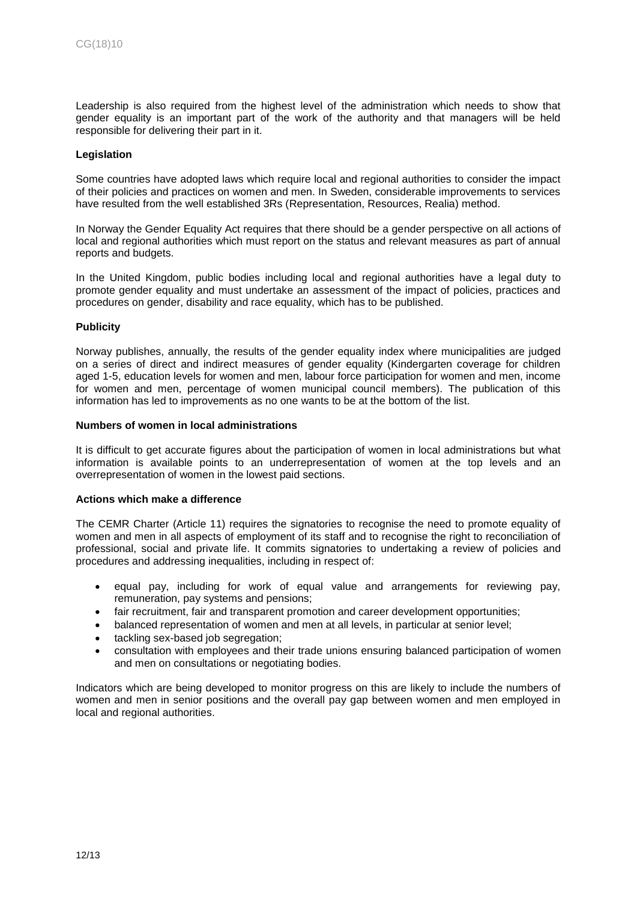Leadership is also required from the highest level of the administration which needs to show that gender equality is an important part of the work of the authority and that managers will be held responsible for delivering their part in it.

#### **Legislation**

Some countries have adopted laws which require local and regional authorities to consider the impact of their policies and practices on women and men. In Sweden, considerable improvements to services have resulted from the well established 3Rs (Representation, Resources, Realia) method.

In Norway the Gender Equality Act requires that there should be a gender perspective on all actions of local and regional authorities which must report on the status and relevant measures as part of annual reports and budgets.

In the United Kingdom, public bodies including local and regional authorities have a legal duty to promote gender equality and must undertake an assessment of the impact of policies, practices and procedures on gender, disability and race equality, which has to be published.

#### **Publicity**

Norway publishes, annually, the results of the gender equality index where municipalities are judged on a series of direct and indirect measures of gender equality (Kindergarten coverage for children aged 1-5, education levels for women and men, labour force participation for women and men, income for women and men, percentage of women municipal council members). The publication of this information has led to improvements as no one wants to be at the bottom of the list.

#### **Numbers of women in local administrations**

It is difficult to get accurate figures about the participation of women in local administrations but what information is available points to an underrepresentation of women at the top levels and an overrepresentation of women in the lowest paid sections.

#### **Actions which make a difference**

The CEMR Charter (Article 11) requires the signatories to recognise the need to promote equality of women and men in all aspects of employment of its staff and to recognise the right to reconciliation of professional, social and private life. It commits signatories to undertaking a review of policies and procedures and addressing inequalities, including in respect of:

- equal pay, including for work of equal value and arrangements for reviewing pay, remuneration, pay systems and pensions;
- fair recruitment, fair and transparent promotion and career development opportunities;
- balanced representation of women and men at all levels, in particular at senior level;
- tackling sex-based job segregation;
- consultation with employees and their trade unions ensuring balanced participation of women and men on consultations or negotiating bodies.

Indicators which are being developed to monitor progress on this are likely to include the numbers of women and men in senior positions and the overall pay gap between women and men employed in local and regional authorities.